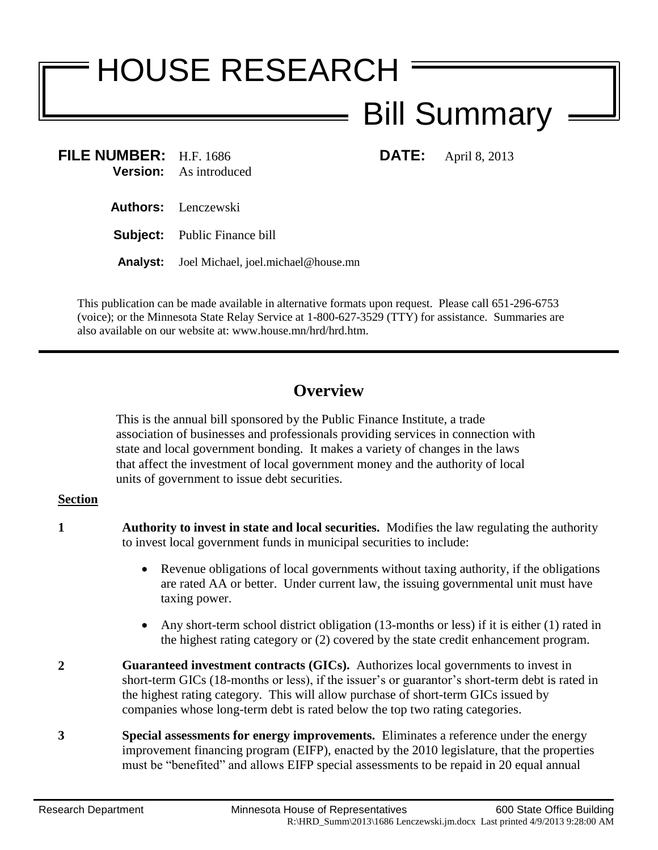# HOUSE RESEARCH Bill Summary

| FILE NUMBER: H.F. 1686        |
|-------------------------------|
| <b>Version:</b> As introduced |
|                               |

**DATE:** April 8, 2013

**Authors:** Lenczewski

**Subject:** Public Finance bill

**Analyst:** Joel Michael, joel.michael@house.mn

This publication can be made available in alternative formats upon request. Please call 651-296-6753 (voice); or the Minnesota State Relay Service at 1-800-627-3529 (TTY) for assistance. Summaries are also available on our website at: www.house.mn/hrd/hrd.htm.

# **Overview**

This is the annual bill sponsored by the Public Finance Institute, a trade association of businesses and professionals providing services in connection with state and local government bonding. It makes a variety of changes in the laws that affect the investment of local government money and the authority of local units of government to issue debt securities.

## **Section**

- **1 Authority to invest in state and local securities.** Modifies the law regulating the authority to invest local government funds in municipal securities to include:
	- Revenue obligations of local governments without taxing authority, if the obligations are rated AA or better. Under current law, the issuing governmental unit must have taxing power.
	- Any short-term school district obligation (13-months or less) if it is either (1) rated in the highest rating category or (2) covered by the state credit enhancement program.
- **2 Guaranteed investment contracts (GICs).** Authorizes local governments to invest in short-term GICs (18-months or less), if the issuer's or guarantor's short-term debt is rated in the highest rating category. This will allow purchase of short-term GICs issued by companies whose long-term debt is rated below the top two rating categories.
- **3 Special assessments for energy improvements.** Eliminates a reference under the energy improvement financing program (EIFP), enacted by the 2010 legislature, that the properties must be "benefited" and allows EIFP special assessments to be repaid in 20 equal annual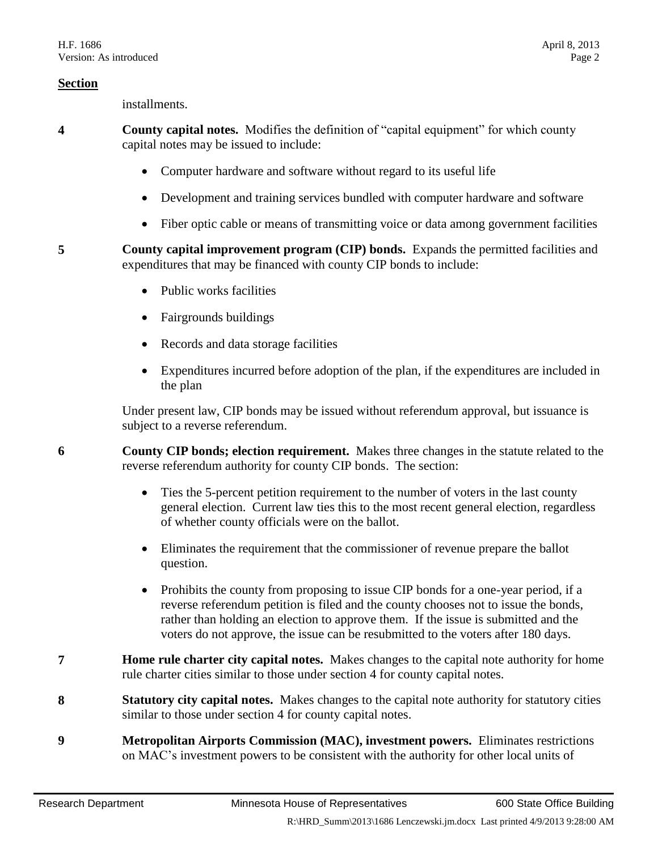### **Section**

installments.

- <span id="page-1-0"></span>**4 County capital notes.** Modifies the definition of "capital equipment" for which county capital notes may be issued to include:
	- Computer hardware and software without regard to its useful life
	- Development and training services bundled with computer hardware and software
	- Fiber optic cable or means of transmitting voice or data among government facilities

<span id="page-1-1"></span>**5 County capital improvement program (CIP) bonds.** Expands the permitted facilities and expenditures that may be financed with county CIP bonds to include:

- Public works facilities
- Fairgrounds buildings
- Records and data storage facilities
- Expenditures incurred before adoption of the plan, if the expenditures are included in the plan

Under present law, CIP bonds may be issued without referendum approval, but issuance is subject to a reverse referendum.

<span id="page-1-2"></span>**6 County CIP bonds; election requirement.** Makes three changes in the statute related to the reverse referendum authority for county CIP bonds. The section:

- Ties the 5-percent petition requirement to the number of voters in the last county general election. Current law ties this to the most recent general election, regardless of whether county officials were on the ballot.
- Eliminates the requirement that the commissioner of revenue prepare the ballot question.
- Prohibits the county from proposing to issue CIP bonds for a one-year period, if a reverse referendum petition is filed and the county chooses not to issue the bonds, rather than holding an election to approve them. If the issue is submitted and the voters do not approve, the issue can be resubmitted to the voters after 180 days.
- **7 Home rule charter city capital notes.** Makes changes to the capital note authority for home rule charter cities similar to those under section [4](#page-1-0) for county capital notes.
- **8 Statutory city capital notes.** Makes changes to the capital note authority for statutory cities similar to those under section [4](#page-1-0) for county capital notes.
- **9 Metropolitan Airports Commission (MAC), investment powers.** Eliminates restrictions on MAC's investment powers to be consistent with the authority for other local units of